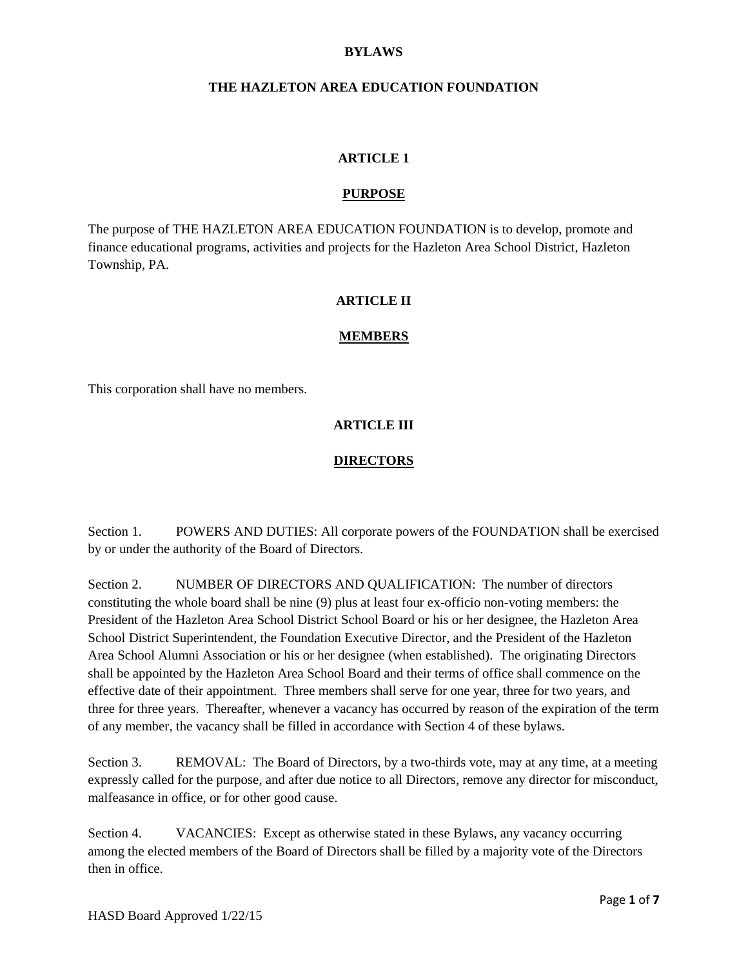### **BYLAWS**

### **THE HAZLETON AREA EDUCATION FOUNDATION**

#### **ARTICLE 1**

#### **PURPOSE**

The purpose of THE HAZLETON AREA EDUCATION FOUNDATION is to develop, promote and finance educational programs, activities and projects for the Hazleton Area School District, Hazleton Township, PA.

#### **ARTICLE II**

#### **MEMBERS**

This corporation shall have no members.

### **ARTICLE III**

#### **DIRECTORS**

Section 1. POWERS AND DUTIES: All corporate powers of the FOUNDATION shall be exercised by or under the authority of the Board of Directors.

Section 2. NUMBER OF DIRECTORS AND QUALIFICATION: The number of directors constituting the whole board shall be nine (9) plus at least four ex-officio non-voting members: the President of the Hazleton Area School District School Board or his or her designee, the Hazleton Area School District Superintendent, the Foundation Executive Director, and the President of the Hazleton Area School Alumni Association or his or her designee (when established). The originating Directors shall be appointed by the Hazleton Area School Board and their terms of office shall commence on the effective date of their appointment. Three members shall serve for one year, three for two years, and three for three years. Thereafter, whenever a vacancy has occurred by reason of the expiration of the term of any member, the vacancy shall be filled in accordance with Section 4 of these bylaws.

Section 3. REMOVAL: The Board of Directors, by a two-thirds vote, may at any time, at a meeting expressly called for the purpose, and after due notice to all Directors, remove any director for misconduct, malfeasance in office, or for other good cause.

Section 4. VACANCIES: Except as otherwise stated in these Bylaws, any vacancy occurring among the elected members of the Board of Directors shall be filled by a majority vote of the Directors then in office.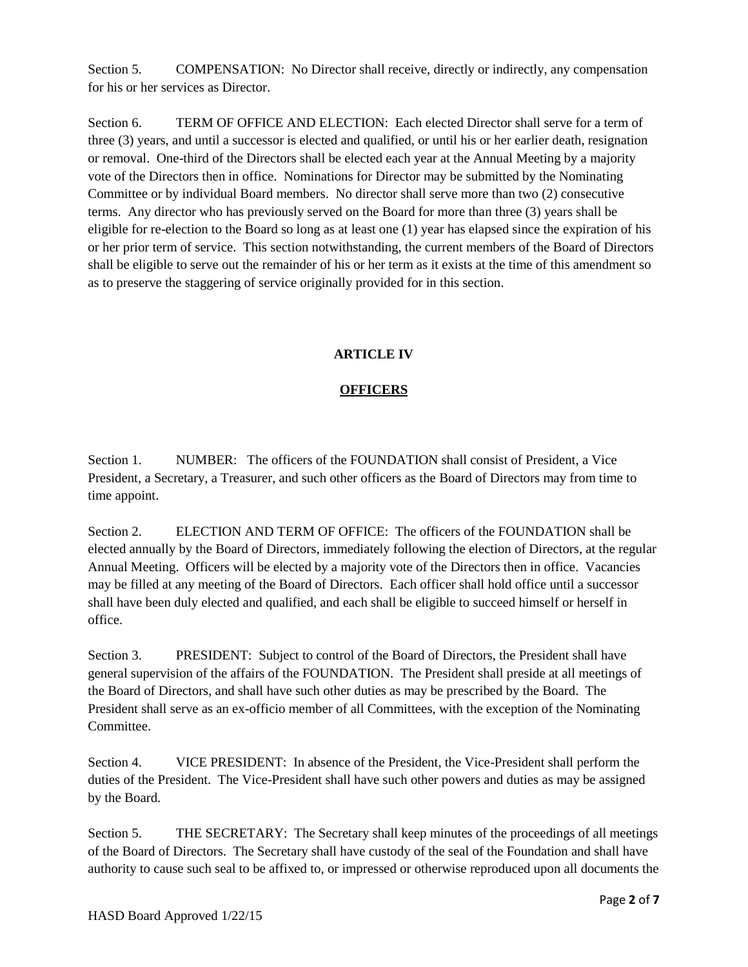Section 5. COMPENSATION: No Director shall receive, directly or indirectly, any compensation for his or her services as Director.

Section 6. TERM OF OFFICE AND ELECTION: Each elected Director shall serve for a term of three (3) years, and until a successor is elected and qualified, or until his or her earlier death, resignation or removal. One-third of the Directors shall be elected each year at the Annual Meeting by a majority vote of the Directors then in office. Nominations for Director may be submitted by the Nominating Committee or by individual Board members. No director shall serve more than two (2) consecutive terms. Any director who has previously served on the Board for more than three (3) years shall be eligible for re-election to the Board so long as at least one (1) year has elapsed since the expiration of his or her prior term of service. This section notwithstanding, the current members of the Board of Directors shall be eligible to serve out the remainder of his or her term as it exists at the time of this amendment so as to preserve the staggering of service originally provided for in this section.

### **ARTICLE IV**

# **OFFICERS**

Section 1. NUMBER: The officers of the FOUNDATION shall consist of President. a Vice President, a Secretary, a Treasurer, and such other officers as the Board of Directors may from time to time appoint.

Section 2. ELECTION AND TERM OF OFFICE: The officers of the FOUNDATION shall be elected annually by the Board of Directors, immediately following the election of Directors, at the regular Annual Meeting. Officers will be elected by a majority vote of the Directors then in office. Vacancies may be filled at any meeting of the Board of Directors. Each officer shall hold office until a successor shall have been duly elected and qualified, and each shall be eligible to succeed himself or herself in office.

Section 3. PRESIDENT: Subject to control of the Board of Directors, the President shall have general supervision of the affairs of the FOUNDATION. The President shall preside at all meetings of the Board of Directors, and shall have such other duties as may be prescribed by the Board. The President shall serve as an ex-officio member of all Committees, with the exception of the Nominating Committee.

Section 4. VICE PRESIDENT: In absence of the President, the Vice-President shall perform the duties of the President. The Vice-President shall have such other powers and duties as may be assigned by the Board.

Section 5. THE SECRETARY: The Secretary shall keep minutes of the proceedings of all meetings of the Board of Directors. The Secretary shall have custody of the seal of the Foundation and shall have authority to cause such seal to be affixed to, or impressed or otherwise reproduced upon all documents the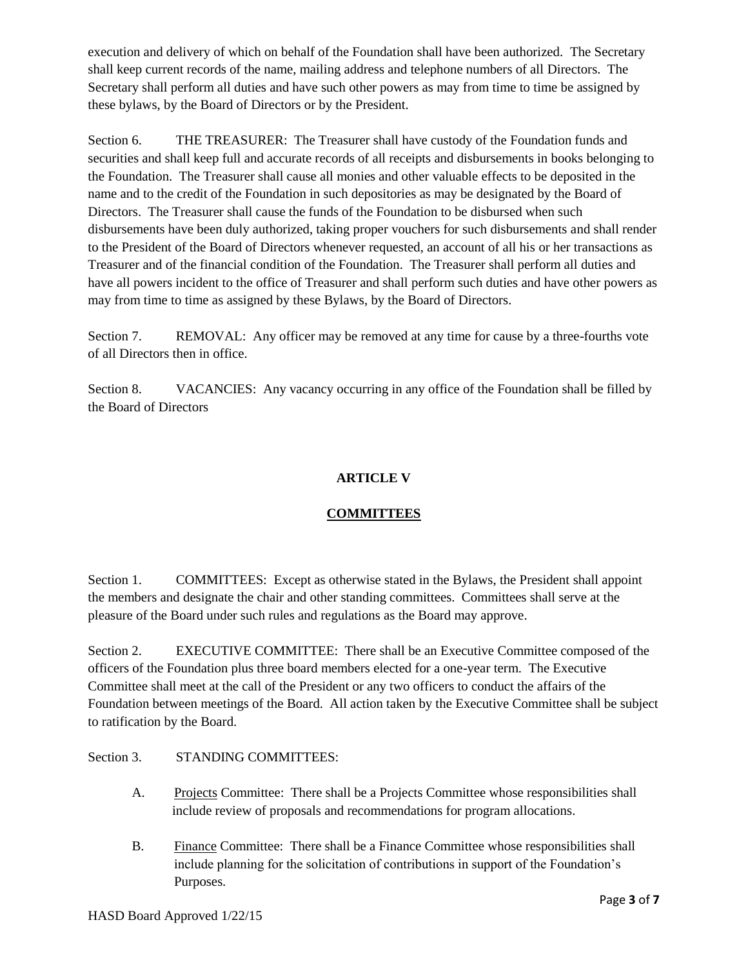execution and delivery of which on behalf of the Foundation shall have been authorized. The Secretary shall keep current records of the name, mailing address and telephone numbers of all Directors. The Secretary shall perform all duties and have such other powers as may from time to time be assigned by these bylaws, by the Board of Directors or by the President.

Section 6. THE TREASURER: The Treasurer shall have custody of the Foundation funds and securities and shall keep full and accurate records of all receipts and disbursements in books belonging to the Foundation. The Treasurer shall cause all monies and other valuable effects to be deposited in the name and to the credit of the Foundation in such depositories as may be designated by the Board of Directors. The Treasurer shall cause the funds of the Foundation to be disbursed when such disbursements have been duly authorized, taking proper vouchers for such disbursements and shall render to the President of the Board of Directors whenever requested, an account of all his or her transactions as Treasurer and of the financial condition of the Foundation. The Treasurer shall perform all duties and have all powers incident to the office of Treasurer and shall perform such duties and have other powers as may from time to time as assigned by these Bylaws, by the Board of Directors.

Section 7. REMOVAL: Any officer may be removed at any time for cause by a three-fourths vote of all Directors then in office.

Section 8. VACANCIES: Any vacancy occurring in any office of the Foundation shall be filled by the Board of Directors

### **ARTICLE V**

## **COMMITTEES**

Section 1. COMMITTEES: Except as otherwise stated in the Bylaws, the President shall appoint the members and designate the chair and other standing committees. Committees shall serve at the pleasure of the Board under such rules and regulations as the Board may approve.

Section 2. EXECUTIVE COMMITTEE: There shall be an Executive Committee composed of the officers of the Foundation plus three board members elected for a one-year term. The Executive Committee shall meet at the call of the President or any two officers to conduct the affairs of the Foundation between meetings of the Board. All action taken by the Executive Committee shall be subject to ratification by the Board.

### Section 3. STANDING COMMITTEES:

- A. Projects Committee: There shall be a Projects Committee whose responsibilities shall include review of proposals and recommendations for program allocations.
- B. Finance Committee: There shall be a Finance Committee whose responsibilities shall include planning for the solicitation of contributions in support of the Foundation's Purposes.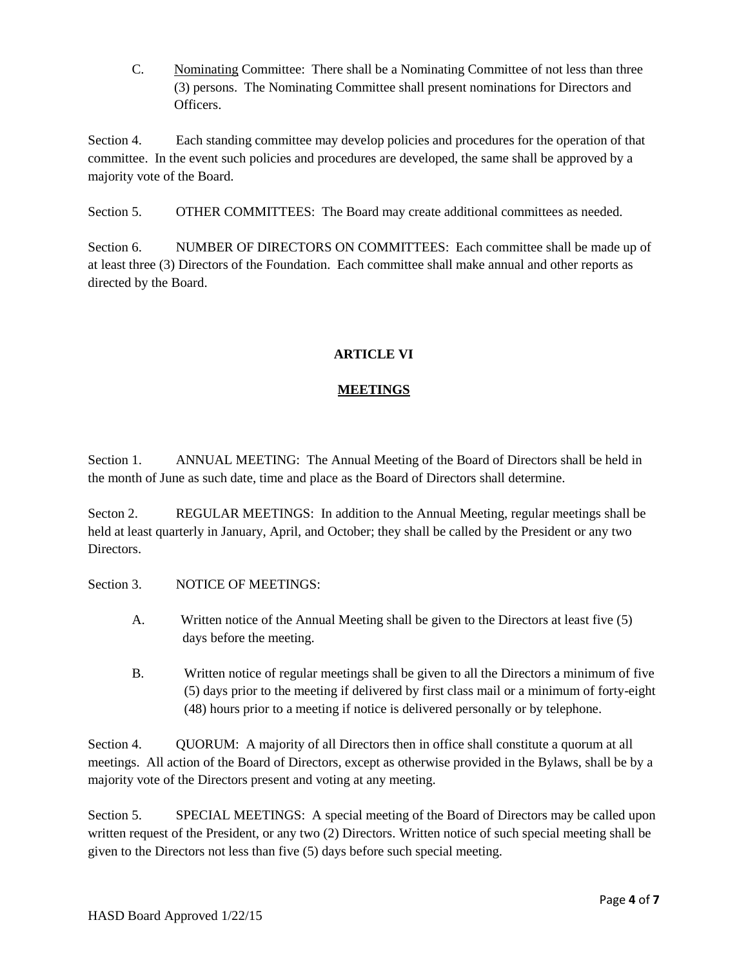C. Nominating Committee: There shall be a Nominating Committee of not less than three (3) persons. The Nominating Committee shall present nominations for Directors and Officers.

Section 4. Each standing committee may develop policies and procedures for the operation of that committee. In the event such policies and procedures are developed, the same shall be approved by a majority vote of the Board.

Section 5. OTHER COMMITTEES: The Board may create additional committees as needed.

Section 6. NUMBER OF DIRECTORS ON COMMITTEES: Each committee shall be made up of at least three (3) Directors of the Foundation. Each committee shall make annual and other reports as directed by the Board.

# **ARTICLE VI**

# **MEETINGS**

Section 1. ANNUAL MEETING: The Annual Meeting of the Board of Directors shall be held in the month of June as such date, time and place as the Board of Directors shall determine.

Secton 2. REGULAR MEETINGS: In addition to the Annual Meeting, regular meetings shall be held at least quarterly in January, April, and October; they shall be called by the President or any two Directors.

Section 3 NOTICE OF MEETINGS

- A. Written notice of the Annual Meeting shall be given to the Directors at least five (5) days before the meeting.
- B. Written notice of regular meetings shall be given to all the Directors a minimum of five (5) days prior to the meeting if delivered by first class mail or a minimum of forty-eight (48) hours prior to a meeting if notice is delivered personally or by telephone.

Section 4. QUORUM: A majority of all Directors then in office shall constitute a quorum at all meetings. All action of the Board of Directors, except as otherwise provided in the Bylaws, shall be by a majority vote of the Directors present and voting at any meeting.

Section 5. SPECIAL MEETINGS: A special meeting of the Board of Directors may be called upon written request of the President, or any two (2) Directors. Written notice of such special meeting shall be given to the Directors not less than five (5) days before such special meeting.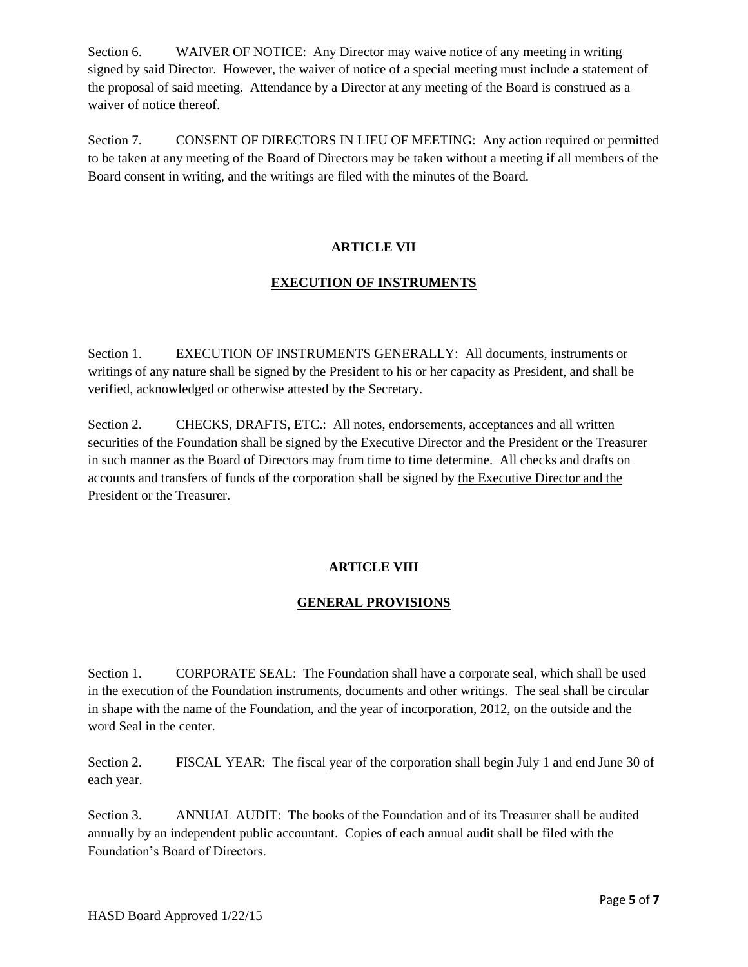Section 6. WAIVER OF NOTICE: Any Director may waive notice of any meeting in writing signed by said Director. However, the waiver of notice of a special meeting must include a statement of the proposal of said meeting. Attendance by a Director at any meeting of the Board is construed as a waiver of notice thereof.

Section 7. CONSENT OF DIRECTORS IN LIEU OF MEETING: Any action required or permitted to be taken at any meeting of the Board of Directors may be taken without a meeting if all members of the Board consent in writing, and the writings are filed with the minutes of the Board.

### **ARTICLE VII**

### **EXECUTION OF INSTRUMENTS**

Section 1. EXECUTION OF INSTRUMENTS GENERALLY: All documents, instruments or writings of any nature shall be signed by the President to his or her capacity as President, and shall be verified, acknowledged or otherwise attested by the Secretary.

Section 2. CHECKS, DRAFTS, ETC.: All notes, endorsements, acceptances and all written securities of the Foundation shall be signed by the Executive Director and the President or the Treasurer in such manner as the Board of Directors may from time to time determine. All checks and drafts on accounts and transfers of funds of the corporation shall be signed by the Executive Director and the President or the Treasurer.

## **ARTICLE VIII**

### **GENERAL PROVISIONS**

Section 1. CORPORATE SEAL: The Foundation shall have a corporate seal, which shall be used in the execution of the Foundation instruments, documents and other writings. The seal shall be circular in shape with the name of the Foundation, and the year of incorporation, 2012, on the outside and the word Seal in the center.

Section 2. FISCAL YEAR: The fiscal year of the corporation shall begin July 1 and end June 30 of each year.

Section 3. ANNUAL AUDIT: The books of the Foundation and of its Treasurer shall be audited annually by an independent public accountant. Copies of each annual audit shall be filed with the Foundation's Board of Directors.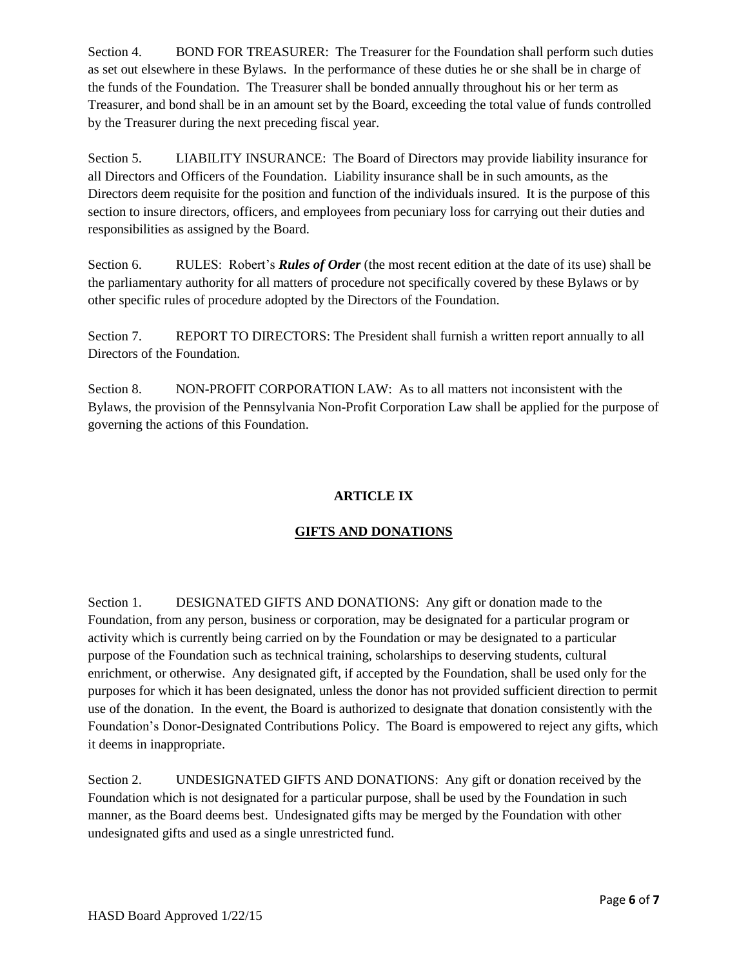Section 4. BOND FOR TREASURER: The Treasurer for the Foundation shall perform such duties as set out elsewhere in these Bylaws. In the performance of these duties he or she shall be in charge of the funds of the Foundation. The Treasurer shall be bonded annually throughout his or her term as Treasurer, and bond shall be in an amount set by the Board, exceeding the total value of funds controlled by the Treasurer during the next preceding fiscal year.

Section 5. LIABILITY INSURANCE: The Board of Directors may provide liability insurance for all Directors and Officers of the Foundation. Liability insurance shall be in such amounts, as the Directors deem requisite for the position and function of the individuals insured. It is the purpose of this section to insure directors, officers, and employees from pecuniary loss for carrying out their duties and responsibilities as assigned by the Board.

Section 6. RULES: Robert's *Rules of Order* (the most recent edition at the date of its use) shall be the parliamentary authority for all matters of procedure not specifically covered by these Bylaws or by other specific rules of procedure adopted by the Directors of the Foundation.

Section 7. REPORT TO DIRECTORS: The President shall furnish a written report annually to all Directors of the Foundation.

Section 8. NON-PROFIT CORPORATION LAW: As to all matters not inconsistent with the Bylaws, the provision of the Pennsylvania Non-Profit Corporation Law shall be applied for the purpose of governing the actions of this Foundation.

## **ARTICLE IX**

# **GIFTS AND DONATIONS**

Section 1. DESIGNATED GIFTS AND DONATIONS: Any gift or donation made to the Foundation, from any person, business or corporation, may be designated for a particular program or activity which is currently being carried on by the Foundation or may be designated to a particular purpose of the Foundation such as technical training, scholarships to deserving students, cultural enrichment, or otherwise. Any designated gift, if accepted by the Foundation, shall be used only for the purposes for which it has been designated, unless the donor has not provided sufficient direction to permit use of the donation. In the event, the Board is authorized to designate that donation consistently with the Foundation's Donor-Designated Contributions Policy. The Board is empowered to reject any gifts, which it deems in inappropriate.

Section 2. UNDESIGNATED GIFTS AND DONATIONS: Any gift or donation received by the Foundation which is not designated for a particular purpose, shall be used by the Foundation in such manner, as the Board deems best. Undesignated gifts may be merged by the Foundation with other undesignated gifts and used as a single unrestricted fund.